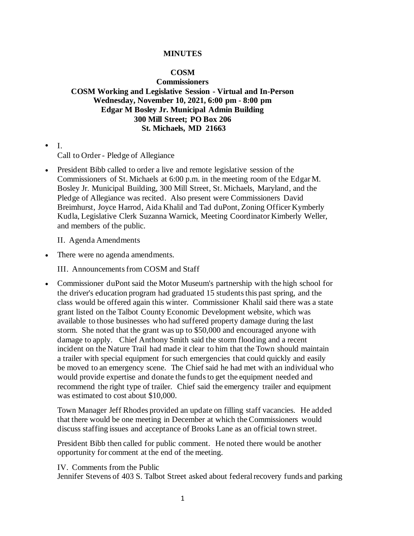## **MINUTES**

## **COSM**

**Commissioners COSM Working and Legislative Session - Virtual and In-Person Wednesday, November 10, 2021, 6:00 pm - 8:00 pm Edgar M Bosley Jr. Municipal Admin Building 300 Mill Street; PO Box 206 St. Michaels, MD 21663**

• I.

Call to Order - Pledge of Allegiance

• President Bibb called to order a live and remote legislative session of the Commissioners of St. Michaels at 6:00 p.m. in the meeting room of the Edgar M. Bosley Jr. Municipal Building, 300 Mill Street, St. Michaels, Maryland, and the Pledge of Allegiance was recited. Also present were Commissioners David Breimhurst, Joyce Harrod, Aida Khalil and Tad duPont, Zoning Officer Kymberly Kudla, Legislative Clerk Suzanna Warnick, Meeting Coordinator Kimberly Weller, and members of the public.

II. Agenda Amendments

• There were no agenda amendments.

III. Announcements from COSM and Staff

• Commissioner duPont said the Motor Museum's partnership with the high school for the driver's education program had graduated 15 students this past spring, and the class would be offered again this winter. Commissioner Khalil said there was a state grant listed on the Talbot County Economic Development website, which was available to those businesses who had suffered property damage during the last storm. She noted that the grant was up to \$50,000 and encouraged anyone with damage to apply. Chief Anthony Smith said the storm flooding and a recent incident on the Nature Trail had made it clear to him that the Town should maintain a trailer with special equipment for such emergencies that could quickly and easily be moved to an emergency scene. The Chief said he had met with an individual who would provide expertise and donate the funds to get the equipment needed and recommend the right type of trailer. Chief said the emergency trailer and equipment was estimated to cost about \$10,000.

Town Manager Jeff Rhodes provided an update on filling staff vacancies. He added that there would be one meeting in December at which the Commissioners would discuss staffing issues and acceptance of Brooks Lane as an official town street.

President Bibb then called for public comment. He noted there would be another opportunity for comment at the end of the meeting.

IV. Comments from the Public

Jennifer Stevens of 403 S. Talbot Street asked about federal recovery funds and parking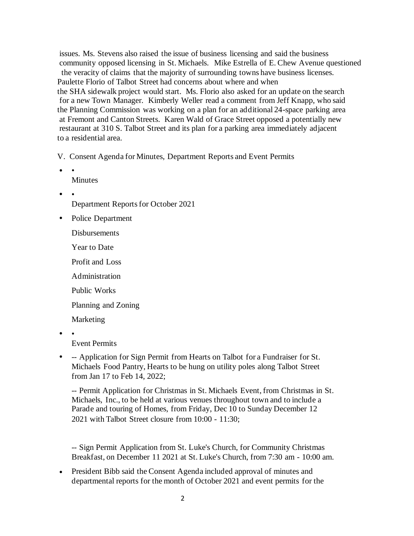issues. Ms. Stevens also raised the issue of business licensing and said the business community opposed licensing in St. Michaels. Mike Estrella of E. Chew Avenue questioned the veracity of claims that the majority of surrounding towns have business licenses. Paulette Florio of Talbot Street had concerns about where and when the SHA sidewalk project would start. Ms. Florio also asked for an update on the search for a new Town Manager. Kimberly Weller read a comment from Jeff Knapp, who said the Planning Commission was working on a plan for an additional 24-space parking area at Fremont and Canton Streets. Karen Wald of Grace Street opposed a potentially new restaurant at 310 S. Talbot Street and its plan for a parking area immediately adjacent to a residential area.

V. Consent Agenda for Minutes, Department Reports and Event Permits

- • Minutes
- •

Department Reports for October 2021

Police Department

**Disbursements** 

Year to Date

Profit and Loss

Administration

Public Works

Planning and Zoning

Marketing

• •

Event Permits

• -- Application for Sign Permit from Hearts on Talbot for a Fundraiser for St. Michaels Food Pantry, Hearts to be hung on utility poles along Talbot Street from Jan 17 to Feb 14, 2022;

-- Permit Application for Christmas in St. Michaels Event, from Christmas in St. Michaels, Inc., to be held at various venues throughout town and to include a Parade and touring of Homes, from Friday, Dec 10 to Sunday December 12 2021 with Talbot Street closure from 10:00 - 11:30;

-- Sign Permit Application from St. Luke's Church, for Community Christmas Breakfast, on December 11 2021 at St. Luke's Church, from 7:30 am - 10:00 am.

• President Bibb said the Consent Agenda included approval of minutes and departmental reports for the month of October 2021 and event permits for the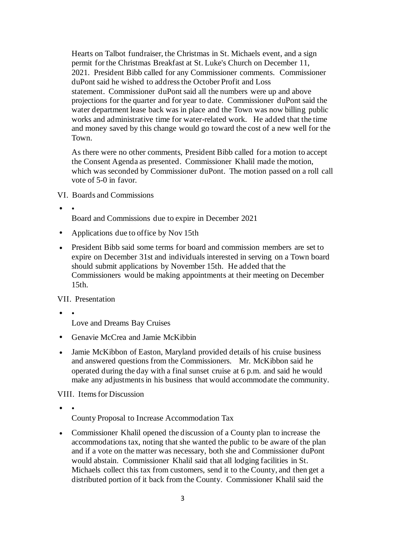Hearts on Talbot fundraiser, the Christmas in St. Michaels event, and a sign permit for the Christmas Breakfast at St. Luke's Church on December 11, 2021. President Bibb called for any Commissioner comments. Commissioner duPont said he wished to address the October Profit and Loss statement. Commissioner duPont said all the numbers were up and above projections for the quarter and for year to date. Commissioner duPont said the water department lease back was in place and the Town was now billing public works and administrative time for water-related work. He added that the time and money saved by this change would go toward the cost of a new well for the Town.

As there were no other comments, President Bibb called for a motion to accept the Consent Agenda as presented. Commissioner Khalil made the motion, which was seconded by Commissioner duPont. The motion passed on a roll call vote of 5-0 in favor.

VI. Boards and Commissions

• •

Board and Commissions due to expire in December 2021

- Applications due to office by Nov 15th
- President Bibb said some terms for board and commission members are set to expire on December 31st and individuals interested in serving on a Town board should submit applications by November 15th. He added that the Commissioners would be making appointments at their meeting on December 15th.

VII. Presentation

• •

Love and Dreams Bay Cruises

- Genavie McCrea and Jamie McKibbin
- Jamie McKibbon of Easton, Maryland provided details of his cruise business and answered questions from the Commissioners. Mr. McKibbon said he operated during the day with a final sunset cruise at 6 p.m. and said he would make any adjustments in his business that would accommodate the community.

VIII. Items for Discussion

• •

County Proposal to Increase Accommodation Tax

• Commissioner Khalil opened the discussion of a County plan to increase the accommodations tax, noting that she wanted the public to be aware of the plan and if a vote on the matter was necessary, both she and Commissioner duPont would abstain. Commissioner Khalil said that all lodging facilities in St. Michaels collect this tax from customers, send it to the County, and then get a distributed portion of it back from the County. Commissioner Khalil said the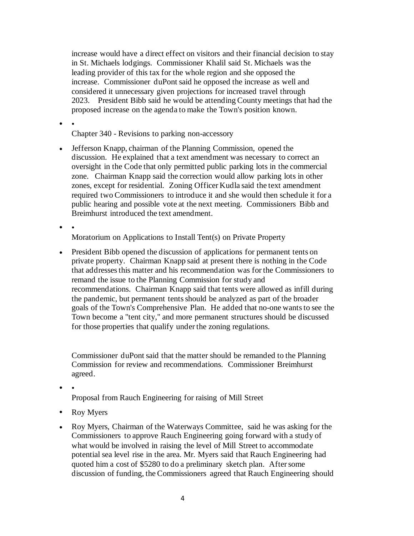increase would have a direct effect on visitors and their financial decision to stay in St. Michaels lodgings. Commissioner Khalil said St. Michaels was the leading provider of this tax for the whole region and she opposed the increase. Commissioner duPont said he opposed the increase as well and considered it unnecessary given projections for increased travel through 2023. President Bibb said he would be attending County meetings that had the proposed increase on the agenda to make the Town's position known.

• •

Chapter 340 - Revisions to parking non-accessory

• Jefferson Knapp, chairman of the Planning Commission, opened the discussion. He explained that a text amendment was necessary to correct an oversight in the Code that only permitted public parking lots in the commercial zone. Chairman Knapp said the correction would allow parking lots in other zones, except for residential. Zoning Officer Kudla said the text amendment required two Commissioners to introduce it and she would then schedule it for a public hearing and possible vote at the next meeting. Commissioners Bibb and Breimhurst introduced the text amendment.

• •

Moratorium on Applications to Install Tent(s) on Private Property

• President Bibb opened the discussion of applications for permanent tents on private property. Chairman Knapp said at present there is nothing in the Code that addresses this matter and his recommendation was for the Commissioners to remand the issue to the Planning Commission for study and recommendations. Chairman Knapp said that tents were allowed as infill during the pandemic, but permanent tents should be analyzed as part of the broader goals of the Town's Comprehensive Plan. He added that no-one wants to see the Town become a "tent city," and more permanent structures should be discussed for those properties that qualify under the zoning regulations.

Commissioner duPont said that the matter should be remanded to the Planning Commission for review and recommendations. Commissioner Breimhurst agreed.

• •

Proposal from Rauch Engineering for raising of Mill Street

- Roy Myers
- Roy Myers, Chairman of the Waterways Committee, said he was asking for the Commissioners to approve Rauch Engineering going forward with a study of what would be involved in raising the level of Mill Street to accommodate potential sea level rise in the area. Mr. Myers said that Rauch Engineering had quoted him a cost of \$5280 to do a preliminary sketch plan. After some discussion of funding, the Commissioners agreed that Rauch Engineering should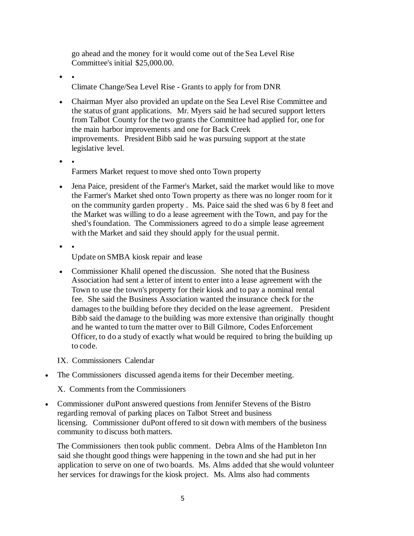go ahead and the money for it would come out of the Sea Level Rise Committee's initial \$25,000.00.

 $\bullet$ 

Climate Change/Sea Level Rise - Grants to apply for from DNR

- Chairman Myer also provided an update on the Sea Level Rise Committee and the status of grant applications. Mr. Myers said he had secured support letters from Talbot County for the two grants the Committee had applied for, one for the main harbor improvements and one for Back Creek improvements. President Bibb said he was pursuing support at the state legislative level.
- •

Farmers Market request to move shed onto Town property

- Jena Paice, president of the Farmer's Market, said the market would like to move the Farmer's Market shed onto Town property as there was no longer room for it on the community garden property . Ms. Paice said the shed was 6 by 8 feet and the Market was willing to do a lease agreement with the Town, and pay for the shed's foundation. The Commissioners agreed to do a simple lease agreement with the Market and said they should apply for the usual permit.
- •

Update on SMBA kiosk repair and lease

• Commissioner Khalil opened the discussion. She noted that the Business Association had sent a letter of intent to enter into a lease agreement with the Town to use the town's property for their kiosk and to pay a nominal rental fee. She said the Business Association wanted the insurance check for the damages to the building before they decided on the lease agreement. President Bibb said the damage to the building was more extensive than originally thought and he wanted to turn the matter over to Bill Gilmore, Codes Enforcement Officer, to do a study of exactly what would be required to bring the building up to code.

IX. Commissioners Calendar

- The Commissioners discussed agenda items for their December meeting.
	- X. Comments from the Commissioners
- Commissioner duPont answered questions from Jennifer Stevens of the Bistro regarding removal of parking places on Talbot Street and business licensing. Commissioner duPont offered to sit down with members of the business community to discuss both matters.

 The Commissioners then took public comment. Debra Alms of the Hambleton Inn said she thought good things were happening in the town and she had put in her application to serve on one of two boards. Ms. Alms added that she would volunteer her services for drawings for the kiosk project. Ms. Alms also had comments